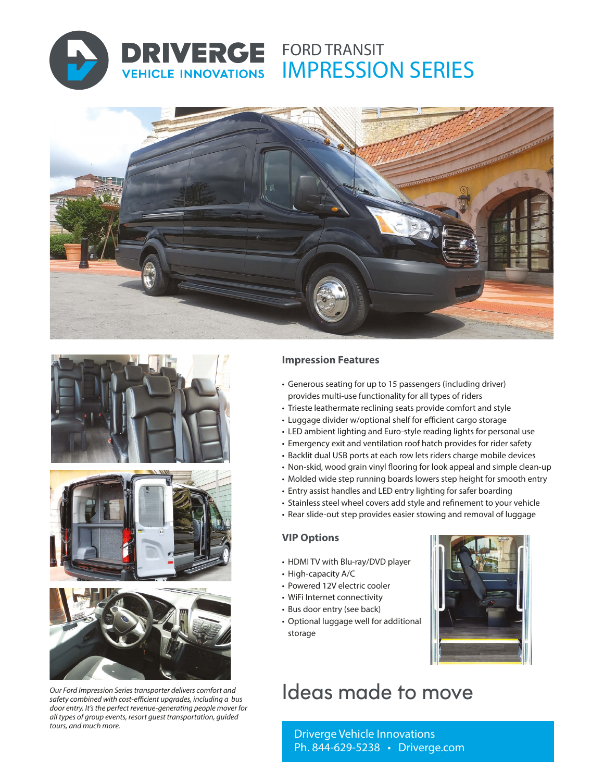

**VEHICLE INNOVATIONS** 

# **DRIVERGE** FORD TRANSIT IMPRESSION SERIES









*Our Ford Impression Series transporter delivers comfort and safety combined with cost-efficient upgrades, including a bus door entry. It's the perfect revenue-generating people mover for all types of group events, resort guest transportation, guided tours, and much more.*

### **Impression Features**

- Generous seating for up to 15 passengers (including driver) provides multi-use functionality for all types of riders
- Trieste leathermate reclining seats provide comfort and style
- Luggage divider w/optional shelf for efficient cargo storage
- LED ambient lighting and Euro-style reading lights for personal use
- Emergency exit and ventilation roof hatch provides for rider safety
- Backlit dual USB ports at each row lets riders charge mobile devices
- Non-skid, wood grain vinyl flooring for look appeal and simple clean-up
- Molded wide step running boards lowers step height for smooth entry
- Entry assist handles and LED entry lighting for safer boarding
- Stainless steel wheel covers add style and refinement to your vehicle
- Rear slide-out step provides easier stowing and removal of luggage

### **VIP Options**

- HDMI TV with Blu-ray/DVD player
- High-capacity A/C
- Powered 12V electric cooler
- WiFi Internet connectivity
- Bus door entry (see back)
- Optional luggage well for additional storage



# Ideas made to move

Driverge Vehicle Innovations Ph. 844-629-5238 • Driverge.com